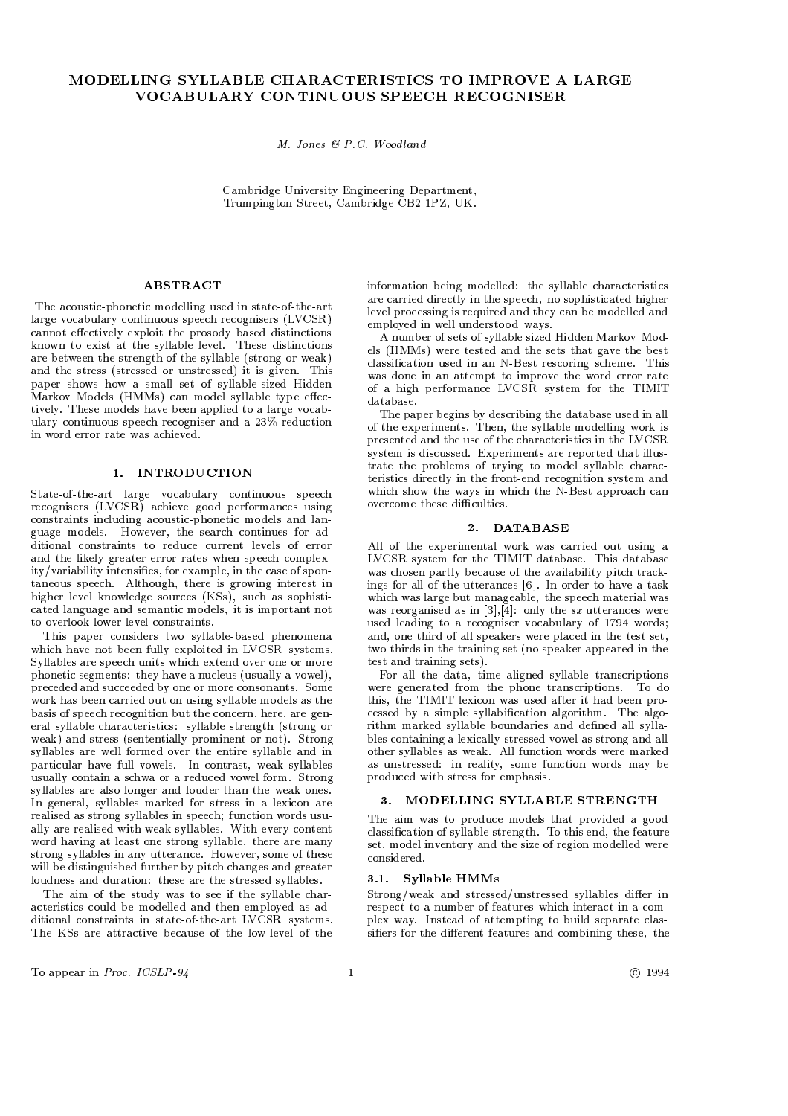# MODELLING SYLLABLE CHARACTERISTICS TO IMPROVE A LARGE VOCABULARY CONTINUOUS SPEECH RECOGNISER

 $M.$  Jones & P.C. Woodland

Cambridge University Engineering Department, Trumpington Street, Cambridge CB2 1PZ, UK.

# **ABSTRACT**

The acoustic-phonetic modelling used in state-of-the-art large vocabulary continuous speech recognisers (LVCSR) cannot effectively exploit the prosody based distinctions known to exist at the syllable level. These distinctions are between the strength of the syllable (strong or weak) and the stress (stressed or unstressed) it is given. This paper shows how a small set of syllable-sized Hidden Markov Models (HMMs) can model syllable type effectively. These models have been applied to a large vocabulary continuous speech recogniser and a 23% reduction in word error rate was achieved.

# 1. INTRODUCTION

State-of-the-art large vocabulary continuous speech recognisers (LVCSR) achieve good performances using constraints including acoustic-phonetic models and language models. However, the search continues for additional constraints to reduce current levels of error and the likely greater error rates when speech complexity/variability intensifies, for example, in the case of spontaneous speech. Although, there is growing interest in higher level knowledge sources (KSs), such as sophisticated language and semantic models, it is important not to overlook lower level constraints.

This paper considers two syllable-based phenomena which have not been fully exploited in LVCSR systems. Syllables are speech units which extend over one or more phonetic segments: they have a nucleus (usually a vowel), preceded and succeeded by one or more consonants. Some work has been carried out on using syllable models as the basis of speech recognition but the concern, here, are general syllable characteristics: syllable strength (strong or weak) and stress (sententially prominent or not). Strong syllables are well formed over the entire syllable and in particular have full vowels. In contrast, weak syllables usually contain a schwa or a reduced vowel form. Strong syllables are also longer and louder than the weak ones. In general, syllables marked for stress in a lexicon are realised as strong syllables in speech; function words usually are realised with weak syllables. With every content word having at least one strong syllable, there are many strong syllables in any utterance. However, some of these will be distinguished further by pitch changes and greater loudness and duration: these are the stressed syllables.

The aim of the study was to see if the syllable characteristics could be modelled and then employed as additional constraints in state-of-the-art LVCSR systems. The KSs are attractive because of the low-level of the

information being modelled: the syllable characteristics are carried directly in the speech, no sophisticated higher level processing is required and they can be modelled and employed in well understood ways.

A number of sets of syllable sized Hidden Markov Models (HMMs) were tested and the sets that gave the best classification used in an N-Best rescoring scheme. This was done in an attempt to improve the word error rate of a high performance LVCSR system for the TIMIT database.

The paper begins by describing the database used in all of the experiments. Then, the syllable modelling work is presented and the use of the characteristics in the LVCSR system is discussed. Experiments are reported that illustrate the problems of trying to model syllable characteristics directly in the front-end recognition system and which show the wavs in which the N-Best approach can overcome these difficulties.

## 2. DATABASE

All of the experimental work was carried out using a LVCSR system for the TIMIT database. This database was chosen partly because of the availability pitch trackings for all of the utterances [6]. In order to have a task which was large but manageable, the speech material was was reorganised as in  $[3],[4]$ : only the sx utterances were used leading to a recogniser vocabulary of 1794 words; and, one third of all speakers were placed in the test set, two thirds in the training set (no speaker appeared in the test and training sets).

For all the data, time aligned syllable transcriptions were generated from the phone transcriptions. To do this, the TIMIT lexicon was used after it had been processed by a simple syllabification algorithm. The algorithm marked syllable boundaries and defined all syllables containing a lexically stressed vowel as strong and all other syllables as weak. All function words were marked as unstressed: in reality, some function words may be produced with stress for emphasis.

## 3. MODELLING SYLLABLE STRENGTH

The aim was to produce models that provided a good classification of syllable strength. To this end, the feature set, model inventory and the size of region modelled were considered.

## 3.1. Svllable HMMs

Strong/weak and stressed/unstressed syllables differ in respect to a number of features which interact in a complex way. Instead of attempting to build separate classifiers for the different features and combining these, the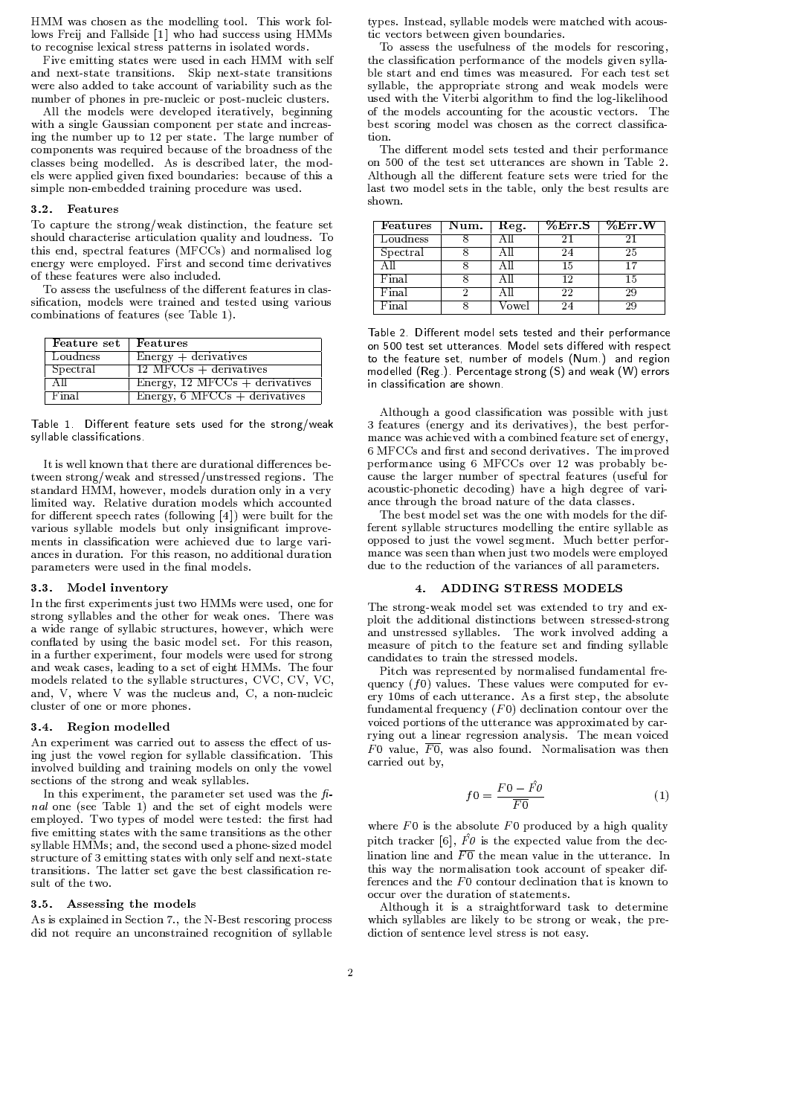HMM was chosen as the modelling tool. This work follows Freij and Fallside [1] who had success using HMMs to recognise lexical stress patterns in isolated words.

Five emitting states were used in each HMM with self and next-state transitions. Skip next-state transitions were also added to take account of variability such as the number of phones in pre-nucleic or post-nucleic clusters.

All the models were developed iteratively, beginning with a single Gaussian component per state and increasing the number up to 12 per state. The large number of components was required because of the broadness of the classes being modelled. As is described later, the models were applied given fixed boundaries: because of this a simple non-embedded training procedure was used.

### 3.2. Features

To capture the strong/weak distinction, the feature set should characterise articulation quality and loudness. To this end, spectral features (MFCCs) and normalised log energy were employed. First and second time derivatives of these features were also included.

To assess the usefulness of the different features in classification, models were trained and tested using various combinations of features (see Table 1).

| Feature set | Features                                 |
|-------------|------------------------------------------|
| Loudness    | $Energy + derivatives$                   |
| Spectral    | $12$ MFCCs + derivatives                 |
| ΑH          | Energy, $12 \text{ MFCCs} +$ derivatives |
| Final       | Energy, $6$ MFCCs + derivatives          |

Table 1. Different feature sets used for the strong/weak syllable classifications.

It is well known that there are durational differences between strong/weak and stressed/unstressed regions. The standard HMM, however, models duration only in a very limited way. Relative duration models which accounted for different speech rates (following  $[4]$ ) were built for the various syllable models but only insignificant improvements in classification were achieved due to large variances in duration. For this reason, no additional duration parameters were used in the final models.

# 3.3. Model inventory

In the first experiments just two HMMs were used, one for strong syllables and the other for weak ones. There was a wide range of syllabic structures, however, which were conflated by using the basic model set. For this reason, in a further experiment, four models were used for strong and weak cases, leading to a set of eight HMMs. The four models related to the syllable structures, CVC, CV, VC, and, V, where V was the nucleus and, C, a non-nucleic cluster of one or more phones.

#### 3.4. Region modelled

An experiment was carried out to assess the effect of using just the vowel region for syllable classification. This involved building and training models on only the vowel sections of the strong and weak syllables.

In this experiment, the parameter set used was the  $f_i$ *nal* one (see Table 1) and the set of eight models were employed. Two types of model were tested: the first had five emitting states with the same transitions as the other syllable HMMs; and, the second used a phone-sized model structure of 3 emitting states with only self and next-state transitions. The latter set gave the best classification result of the two

## 3.5. Assessing the models

As is explained in Section 7., the N-Best rescoring process did not require an unconstrained recognition of syllable types. Instead, syllable models were matched with acoustic vectors between given boundaries.

To assess the usefulness of the models for rescoring, the classification performance of the models given syllable start and end times was measured. For each test set syllable, the appropriate strong and weak models were used with the Viterbi algorithm to find the log-likelihood of the models accounting for the acoustic vectors. The best scoring model was chosen as the correct classification.

The different model sets tested and their performance on 500 of the test set utterances are shown in Table 2. Although all the different feature sets were tried for the last two model sets in the table, only the best results are shown

| <b>Features</b> | Num. | Reg.  | %Err S | $\sqrt[6]{\text{E}}$ rr W |
|-----------------|------|-------|--------|---------------------------|
| Loudness        |      |       |        |                           |
| Spectral        |      |       |        | 25                        |
| AH              |      |       | 15     | 17                        |
| Final           |      |       | 19     | 15                        |
| Final           |      |       | 22     | 29                        |
| Final           |      | ∕owel |        |                           |

Table 2. Different model sets tested and their performance on 500 test set utterances. Model sets differed with respect to the feature set, number of models (Num.) and region modelled (Reg.). Percentage strong (S) and weak (W) errors in classification are shown.

Although a good classification was possible with just 3 features (energy and its derivatives), the best performance was achieved with a combined feature set of energy. 6 MFCCs and first and second derivatives. The improved performance using 6 MFCCs over 12 was probably because the larger number of spectral features (useful for acoustic-phonetic decoding) have a high degree of variance through the broad nature of the data classes.

The best model set was the one with models for the different syllable structures modelling the entire syllable as opposed to just the vowel segment. Much better performance was seen than when just two models were employed due to the reduction of the variances of all parameters.

# 4. ADDING STRESS MODELS

The strong-weak model set was extended to try and exploit the additional distinctions between stressed-strong and unstressed svllables. The work involved adding a measure of pitch to the feature set and finding syllable candidates to train the stressed models.

Pitch was represented by normalised fundamental frequency  $(f0)$  values. These values were computed for every 10ms of each utterance. As a first step, the absolute fundamental frequency  $(F0)$  declination contour over the voiced portions of the utterance was approximated by carrying out a linear regression analysis. The mean voiced F0 value,  $\overline{F0}$ , was also found. Normalisation was then carried out by,

$$
f0 = \frac{F0 - \hat{F0}}{\overline{F0}}\tag{1}
$$

where  $F0$  is the absolute  $F0$  produced by a high quality pitch tracker [6],  $\hat{F}\theta$  is the expected value from the declination line and  $\overline{F0}$  the mean value in the utterance. In this way the normalisation took account of speaker differences and the  $F_0$  contour declination that is known to occur over the duration of statements.

Although it is a straightforward task to determine which syllables are likely to be strong or weak, the prediction of sentence level stress is not easy.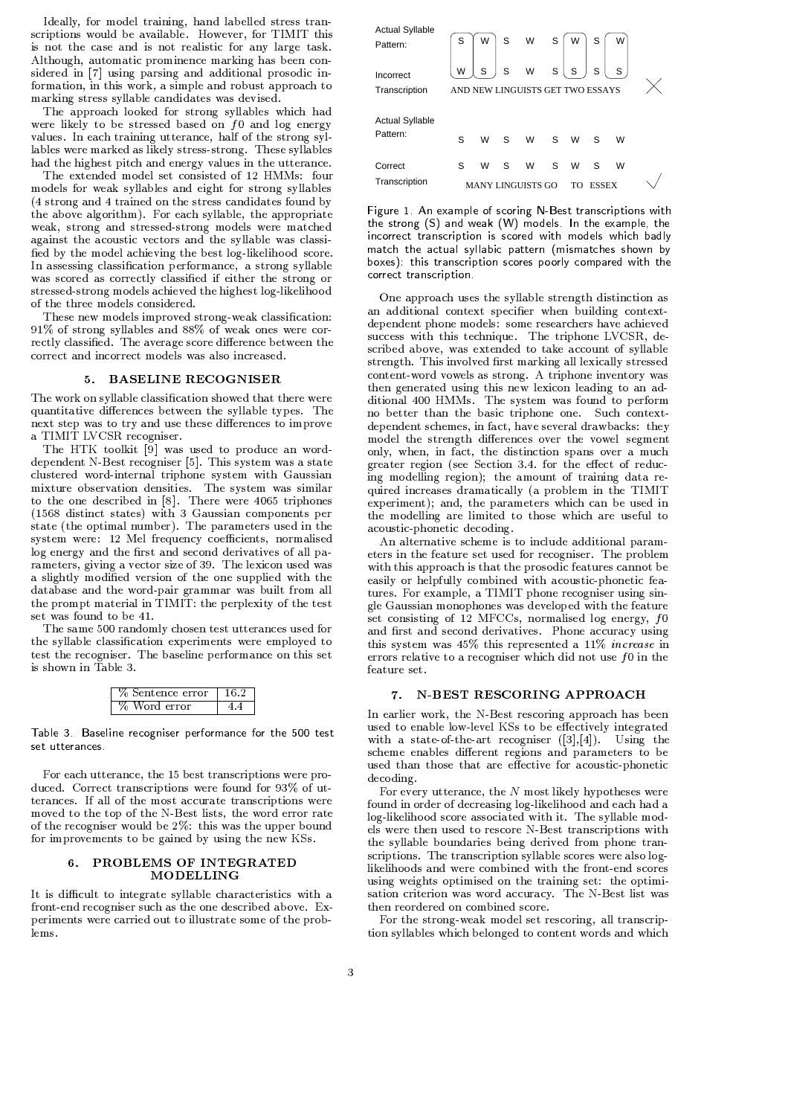Ideally, for model training, hand labelled stress transcriptions would be available. However, for TIMIT this is not the case and is not realistic for any large task. Although, automatic prominence marking has been considered in [7] using parsing and additional prosodic information, in this work, a simple and robust approach to marking stress syllable candidates was devised.

The approach looked for strong syllables which had were likely to be stressed based on  $f0$  and log energy values. In each training utterance, half of the strong syllables were marked as likely stress-strong. These syllables had the highest pitch and energy values in the utterance.

The extended model set consisted of 12 HMMs: four models for weak syllables and eight for strong syllables (4 strong and 4 trained on the stress candidates found by the above algorithm). For each syllable, the appropriate weak, strong and stressed-strong models were matched against the acoustic vectors and the syllable was classified by the model achieving the best log-likelihood score. In assessing classification performance, a strong syllable was scored as correctly classified if either the strong or stressed-strong models achieved the highest log-likelihood of the three models considered.

These new models improved strong-weak classification: 91% of strong syllables and 88% of weak ones were correctly classified. The average score difference between the correct and incorrect models was also increased.

### 5. BASELINE RECOGNISER

The work on syllable classification showed that there were quantitative differences between the syllable types. The next step was to try and use these differences to improve a TIMIT LVCSR recogniser.

The HTK toolkit [9] was used to produce an worddependent N-Best recogniser [5]. This system was a state clustered word-internal triphone system with Gaussian mixture observation densities. The system was similar to the one described in [8]. There were 4065 triphones (1568 distinct states) with 3 Gaussian components per state (the optimal number). The parameters used in the system were: 12 Mel frequency coefficients, normalised log energy and the first and second derivatives of all parameters, giving a vector size of 39. The lexicon used was a slightly modified version of the one supplied with the database and the word-pair grammar was built from all the prompt material in TIMIT: the perplexity of the test set was found to be 41.

The same 500 randomly chosen test utterances used for the syllable classification experiments were employed to test the recogniser. The baseline performance on this set is shown in Table 3

| Sentence error |  |
|----------------|--|
| Word error     |  |

Table 3. Baseline recogniser performance for the 500 test set utterances.

For each utterance, the 15 best transcriptions were produced. Correct transcriptions were found for 93% of utterances. If all of the most accurate transcriptions were moved to the top of the N-Best lists, the word error rate of the recogniser would be  $2\%$ : this was the upper bound for improvements to be gained by using the new KSs.

# 6. PROBLEMS OF INTEGRATED MODELLING

It is difficult to integrate syllable characteristics with a front-end recogniser such as the one described above. Experiments were carried out to illustrate some of the problems.

| Actual Syllable<br>Pattern:        | S | W | S | W                                     | S | W                   | S                 |   |  |
|------------------------------------|---|---|---|---------------------------------------|---|---------------------|-------------------|---|--|
| Incorrect<br>Transcription         | W | S | S | W<br>AND NEW LINGUISTS GET TWO ESSAYS | S | S                   | S                 | S |  |
| <b>Actual Syllable</b><br>Pattern: | S | W | S | W                                     | S | W                   | S                 | W |  |
| Correct<br>Transcription           | S | W | S | W<br><b>MANY LINGUISTS GO</b>         | S | W<br>T <sub>O</sub> | S<br><b>ESSEX</b> | W |  |

Figure 1. An example of scoring N-Best transcriptions with the strong (S) and weak (W) models. In the example, the incorrect transcription is scored with models which badly match the actual syllabic pattern (mismatches shown by boxes): this transcription scores poorly compared with the correct transcription.

One approach uses the syllable strength distinction as an additional context specifier when building contextdependent phone models: some researchers have achieved success with this technique. The triphone LVCSR, described above, was extended to take account of syllable strength. This involved first marking all lexically stressed content-word vowels as strong. A triphone inventory was then generated using this new lexicon leading to an additional 400 HMMs. The system was found to perform no better than the basic triphone one. Such contextdependent schemes, in fact, have several drawbacks: they model the strength differences over the vowel segment only, when, in fact, the distinction spans over a much greater region (see Section 3.4. for the effect of reducing modelling region); the amount of training data required increases dramatically (a problem in the TIMIT experiment); and, the parameters which can be used in the modelling are limited to those which are useful to acoustic-phonetic decoding.

An alternative scheme is to include additional parameters in the feature set used for recogniser. The problem with this approach is that the prosodic features cannot be easily or helpfully combined with acoustic-phonetic features. For example, a TIMIT phone recogniser using single Gaussian monophones was developed with the feature set consisting of 12 MFCCs, normalised log energy,  $f_0$ and first and second derivatives. Phone accuracy using this system was 45% this represented a 11% increase in errors relative to a recogniser which did not use  $f0$  in the feature set.

## 7. N-BEST RESCORING APPROACH

In earlier work, the N-Best rescoring approach has been used to enable low-level KSs to be effectively integrated with a state-of-the-art recogniser  $([3],[4])$ . Using the scheme enables different regions and parameters to be used than those that are effective for acoustic-phonetic decoding.

For every utterance, the  $N$  most likely hypotheses were found in order of decreasing log-likelihood and each had a log-likelihood score associated with it. The syllable models were then used to rescore N-Best transcriptions with the syllable boundaries being derived from phone transcriptions. The transcription syllable scores were also loglikelihoods and were combined with the front-end scores using weights optimised on the training set: the optimisation criterion was word accuracy. The N-Best list was then reordered on combined score.

For the strong-weak model set rescoring, all transcription syllables which belonged to content words and which